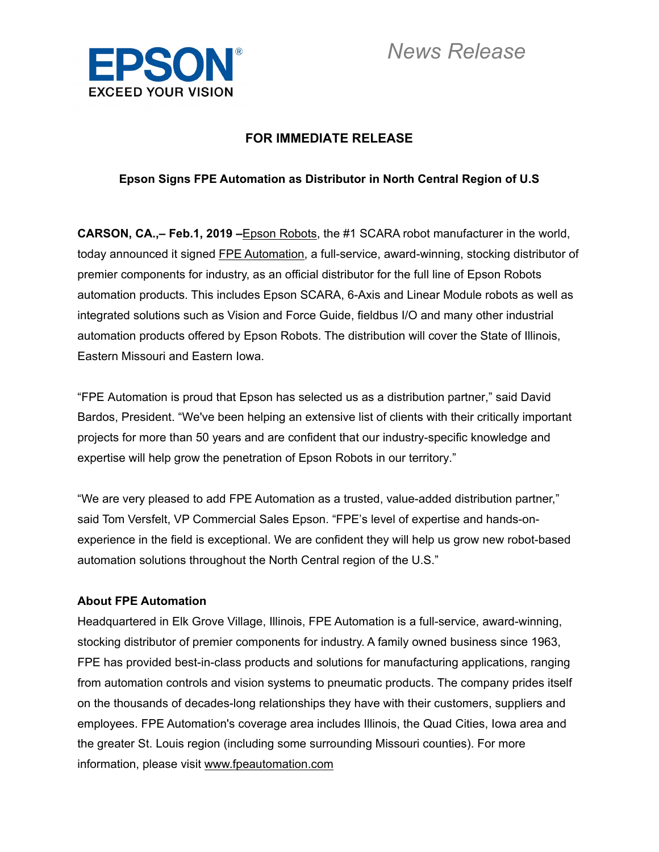

# **FOR IMMEDIATE RELEASE**

## **Epson Signs FPE Automation as Distributor in North Central Region of U.S**

**CARSON, CA.,– Feb.1, 2019 –**Epson Robots, the #1 SCARA robot manufacturer in the world, today announced it signed FPE Automation, a full-service, award-winning, stocking distributor of premier components for industry, as an official distributor for the full line of Epson Robots automation products. This includes Epson SCARA, 6-Axis and Linear Module robots as well as integrated solutions such as Vision and Force Guide, fieldbus I/O and many other industrial automation products offered by Epson Robots. The distribution will cover the State of Illinois, Eastern Missouri and Eastern Iowa.

"FPE Automation is proud that Epson has selected us as a distribution partner," said David Bardos, President. "We've been helping an extensive list of clients with their critically important projects for more than 50 years and are confident that our industry-specific knowledge and expertise will help grow the penetration of Epson Robots in our territory."

"We are very pleased to add FPE Automation as a trusted, value-added distribution partner," said Tom Versfelt, VP Commercial Sales Epson. "FPE's level of expertise and hands-onexperience in the field is exceptional. We are confident they will help us grow new robot-based automation solutions throughout the North Central region of the U.S."

### **About FPE Automation**

Headquartered in Elk Grove Village, Illinois, FPE Automation is a full-service, award-winning, stocking distributor of premier components for industry. A family owned business since 1963, FPE has provided best-in-class products and solutions for manufacturing applications, ranging from automation controls and vision systems to pneumatic products. The company prides itself on the thousands of decades-long relationships they have with their customers, suppliers and employees. FPE Automation's coverage area includes Illinois, the Quad Cities, Iowa area and the greater St. Louis region (including some surrounding Missouri counties). For more information, please visit www.fpeautomation.com